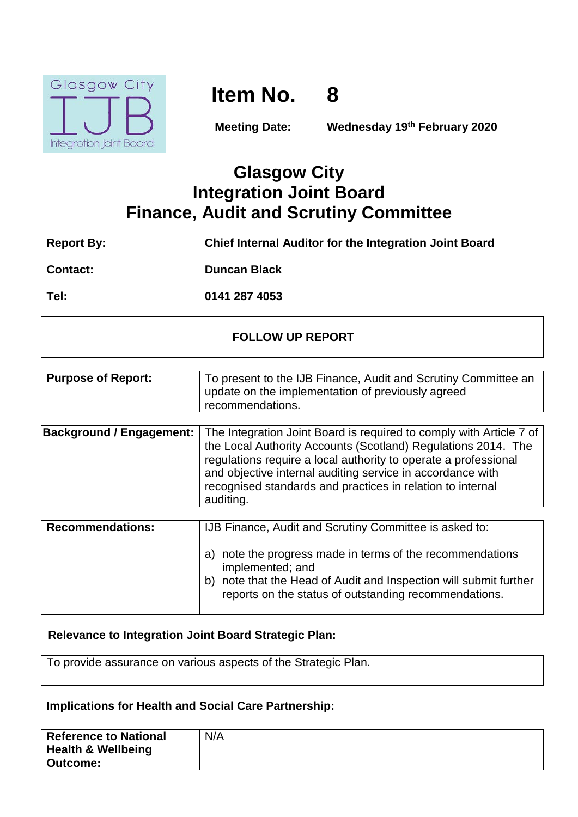

# **Item No. 8**

**Meeting Date: Wednesday 19th February 2020**

# **Glasgow City Integration Joint Board Finance, Audit and Scrutiny Committee**

| <b>Report By:</b> | Chief Internal Auditor for the Integration Joint Board |
|-------------------|--------------------------------------------------------|
|                   |                                                        |

**Contact: Duncan Black**

**Tel: 0141 287 4053**

### **FOLLOW UP REPORT**

| <b>Purpose of Report:</b> | To present to the IJB Finance, Audit and Scrutiny Committee an |
|---------------------------|----------------------------------------------------------------|
|                           | update on the implementation of previously agreed              |
|                           | recommendations.                                               |

| <b>Background / Engagement:</b> The Integration Joint Board is required to comply with Article 7 of<br>the Local Authority Accounts (Scotland) Regulations 2014. The<br>regulations require a local authority to operate a professional<br>and objective internal auditing service in accordance with<br>recognised standards and practices in relation to internal<br>auditing. |
|----------------------------------------------------------------------------------------------------------------------------------------------------------------------------------------------------------------------------------------------------------------------------------------------------------------------------------------------------------------------------------|
|                                                                                                                                                                                                                                                                                                                                                                                  |

| <b>Recommendations:</b> | IJB Finance, Audit and Scrutiny Committee is asked to:                                                                                                                                                      |
|-------------------------|-------------------------------------------------------------------------------------------------------------------------------------------------------------------------------------------------------------|
|                         | note the progress made in terms of the recommendations<br>implemented; and<br>note that the Head of Audit and Inspection will submit further<br>b)<br>reports on the status of outstanding recommendations. |

### **Relevance to Integration Joint Board Strategic Plan:**

To provide assurance on various aspects of the Strategic Plan.

#### **Implications for Health and Social Care Partnership:**

| <b>Reference to National</b>  | N/A |
|-------------------------------|-----|
| <b>Health &amp; Wellbeing</b> |     |
| <b>Outcome:</b>               |     |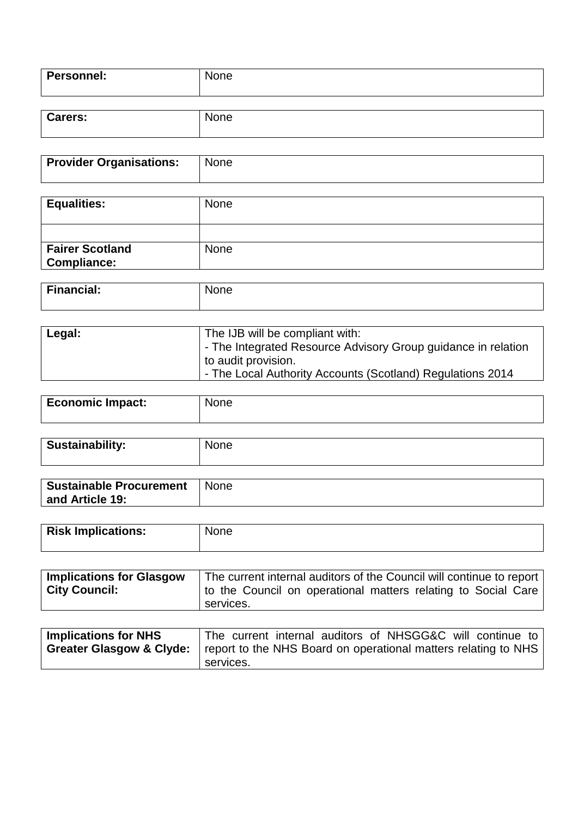| <b>Personnel:</b> | <b>None</b> |
|-------------------|-------------|
|                   |             |
| <b>Carers:</b>    | <b>None</b> |

| <b>Provider Organisations:</b> | None        |
|--------------------------------|-------------|
| <b>Equalities:</b>             | <b>None</b> |
|                                |             |

| <b>Financial:</b> | $\sim$<br>⊡ne⊤<br>IМ |
|-------------------|----------------------|
|                   |                      |

None

**Fairer Scotland Compliance:**

| Legal: | The IJB will be compliant with:                               |
|--------|---------------------------------------------------------------|
|        | - The Integrated Resource Advisory Group guidance in relation |
|        | to audit provision.                                           |
|        | - The Local Authority Accounts (Scotland) Regulations 2014    |

| Economic Impact: | None |
|------------------|------|
|                  |      |

| Sustainability: |  |
|-----------------|--|
|                 |  |

| <b>Sustainable Procurement</b> | <b>None</b> |
|--------------------------------|-------------|
| and Article 19:                |             |

| <b>Risk Implications:</b> | None |
|---------------------------|------|
|                           |      |

| <b>Implications for Glasgow</b> | The current internal auditors of the Council will continue to report |  |  |  |  |  |
|---------------------------------|----------------------------------------------------------------------|--|--|--|--|--|
| <b>City Council:</b>            | to the Council on operational matters relating to Social Care        |  |  |  |  |  |
|                                 | services.                                                            |  |  |  |  |  |

| Implications for NHS | The current internal auditors of NHSGG&C will continue to                                            |
|----------------------|------------------------------------------------------------------------------------------------------|
|                      | <b>Greater Glasgow &amp; Clyde:</b>   report to the NHS Board on operational matters relating to NHS |
|                      | services.                                                                                            |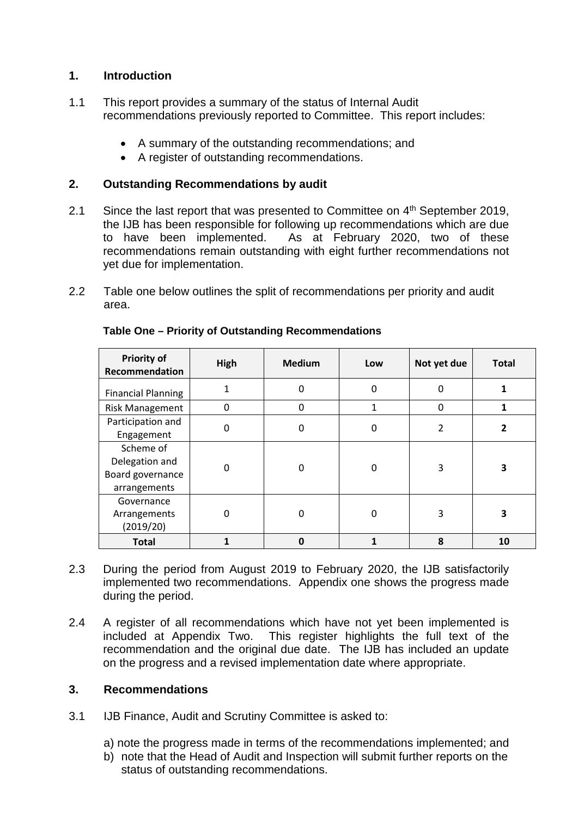#### **1. Introduction**

- 1.1 This report provides a summary of the status of Internal Audit recommendations previously reported to Committee. This report includes:
	- A summary of the outstanding recommendations; and
	- A register of outstanding recommendations.

#### **2. Outstanding Recommendations by audit**

- 2.1 Since the last report that was presented to Committee on 4<sup>th</sup> September 2019, the IJB has been responsible for following up recommendations which are due to have been implemented. As at February 2020, two of these recommendations remain outstanding with eight further recommendations not yet due for implementation.
- 2.2 Table one below outlines the split of recommendations per priority and audit area.

| <b>Priority of</b><br>Recommendation                            | High | <b>Medium</b> | Low      | Not yet due    | <b>Total</b> |
|-----------------------------------------------------------------|------|---------------|----------|----------------|--------------|
| <b>Financial Planning</b>                                       |      | 0             | $\Omega$ | 0              |              |
| <b>Risk Management</b>                                          | 0    | 0             |          | $\Omega$       |              |
| Participation and<br>Engagement                                 | ი    | 0             | $\Omega$ | $\overline{2}$ | 2            |
| Scheme of<br>Delegation and<br>Board governance<br>arrangements | 0    | 0             | $\Omega$ | 3              | 3            |
| Governance<br>Arrangements<br>(2019/20)                         | ი    | 0             | $\Omega$ | 3              | з            |
| <b>Total</b>                                                    |      | $\mathbf 0$   |          | 8              | 10           |

#### **Table One – Priority of Outstanding Recommendations**

- 2.3 During the period from August 2019 to February 2020, the IJB satisfactorily implemented two recommendations. Appendix one shows the progress made during the period.
- 2.4 A register of all recommendations which have not vet been implemented is included at Appendix Two. This register highlights the full text of the recommendation and the original due date. The IJB has included an update on the progress and a revised implementation date where appropriate.

#### **3. Recommendations**

- 3.1 IJB Finance, Audit and Scrutiny Committee is asked to:
	- a) note the progress made in terms of the recommendations implemented; and
	- b) note that the Head of Audit and Inspection will submit further reports on the status of outstanding recommendations.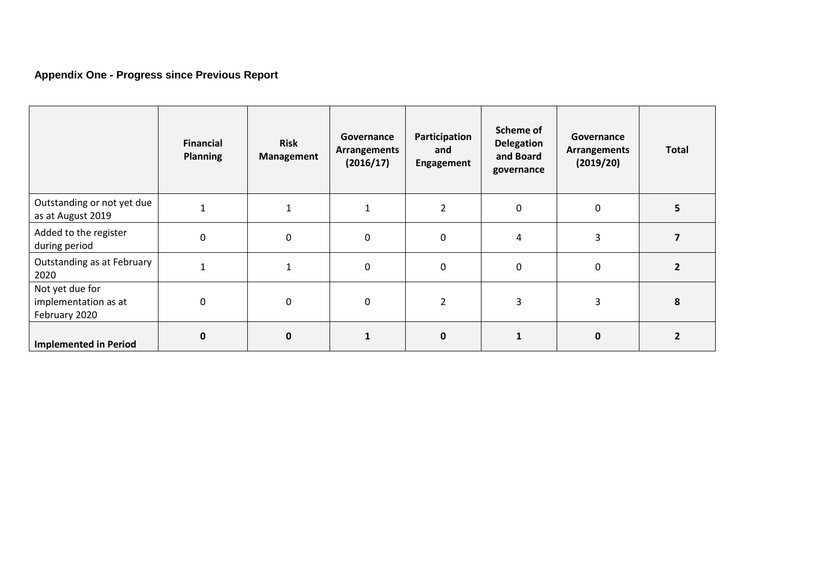## **Appendix One - Progress since Previous Report**

|                                                          | Financial<br><b>Planning</b> | <b>Risk</b><br>Management | Governance<br><b>Arrangements</b><br>(2016/17) | Participation<br>and<br>Engagement | Scheme of<br><b>Delegation</b><br>and Board<br>governance | Governance<br><b>Arrangements</b><br>(2019/20) | <b>Total</b>   |
|----------------------------------------------------------|------------------------------|---------------------------|------------------------------------------------|------------------------------------|-----------------------------------------------------------|------------------------------------------------|----------------|
| Outstanding or not yet due<br>as at August 2019          |                              | 1                         |                                                | $\overline{2}$                     | $\mathbf{0}$                                              | 0                                              | 5              |
| Added to the register<br>during period                   | $\mathbf 0$                  | $\mathbf 0$               | $\mathbf 0$                                    | $\mathbf 0$                        | 4                                                         | 3                                              |                |
| Outstanding as at February<br>2020                       |                              |                           | $\mathbf{0}$                                   | $\mathbf{0}$                       | $\mathbf{0}$                                              | 0                                              | ר              |
| Not yet due for<br>implementation as at<br>February 2020 | 0                            | $\boldsymbol{0}$          | $\mathbf{0}$                                   | 2                                  | 3                                                         | 3                                              | 8              |
| <b>Implemented in Period</b>                             | $\mathbf{0}$                 | $\mathbf 0$               |                                                | 0                                  |                                                           | $\mathbf{0}$                                   | $\overline{2}$ |